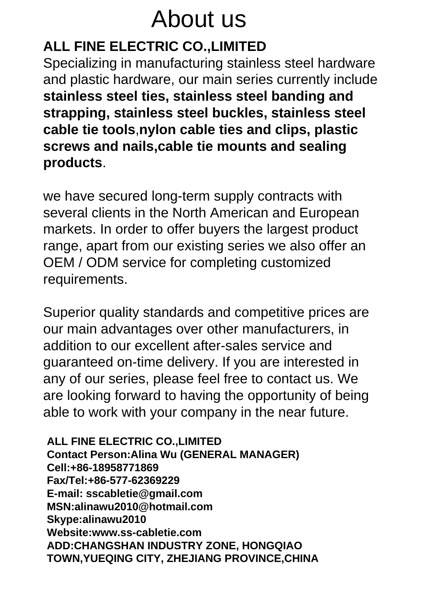# About us

# **ALL FINE ELECTRIC CO.,LIMITED**

Specializing in manufacturing stainless steel hardware and plastic hardware, our main series currently include **stainless steel ties, stainless steel banding and strapping, stainless steel buckles, stainless steel cable tie tools**,**nylon cable ties and clips, plastic screws and nails,cable tie mounts and sealing products**.

we have secured long-term supply contracts with several clients in the North American and European markets. In order to offer buyers the largest product range, apart from our existing series we also offer an OEM / ODM service for completing customized requirements.

Superior quality standards and competitive prices are our main advantages over other manufacturers, in addition to our excellent after-sales service and guaranteed on-time delivery. If you are interested in any of our series, please feel free to contact us. We are looking forward to having the opportunity of being able to work with your company in the near future.

**ALL FINE ELECTRIC CO.,LIMITED Contact Person:Alina Wu (GENERAL MANAGER) Cell:+86-18958771869 Fax/Tel:+86-577-62369229 E-mail: sscabletie@gmail.com MSN:alinawu2010@hotmail.com Skype:alinawu2010 Website:www.ss-cabletie.com ADD:CHANGSHAN INDUSTRY ZONE, HONGQIAO TOWN,YUEQING CITY, ZHEJIANG PROVINCE,CHINA**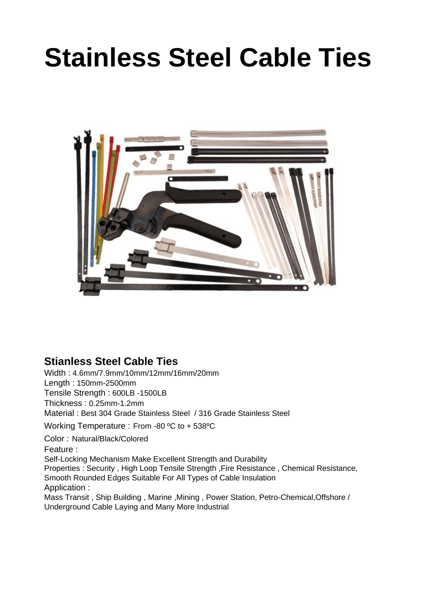# **Stainless Steel Cable Ties**



### **Stianless Steel Cable Ties**

Width : 4.6mm/7.9mm/10mm/12mm/16mm/20mm Length : 150mm-2500mm Tensile Strength : 600LB -1500LB Thickness : 0.25mm-1.2mm Material : Best 304 Grade Stainless Steel / 316 Grade Stainless Steel Working Temperature : From -80 ºC to + 538ºC Color : Natural/Black/Colored Feature : Self-Locking Mechanism Make Excellent Strength and Durability Properties : Security , High Loop Tensile Strength ,Fire Resistance , Chemical Resistance, Smooth Rounded Edges Suitable For All Types of Cable Insulation Application :

Mass Transit , Ship Building , Marine ,Mining , Power Station, Petro-Chemical,Offshore / Underground Cable Laying and Many More Industrial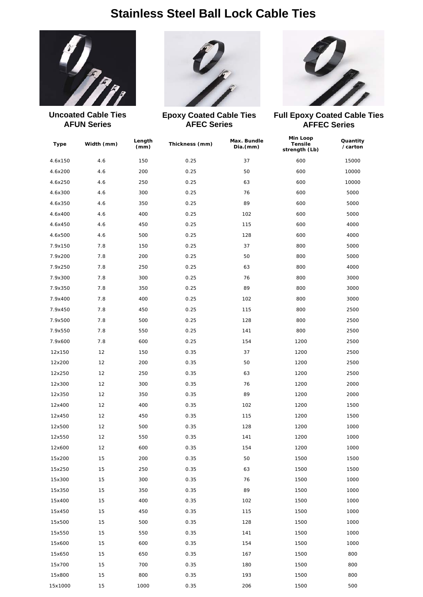### **Stainless Steel Ball Lock Cable Ties**



**Uncoated Cable Ties AFUN Series**



**Epoxy Coated Cable Ties AFEC Series**



**Full Epoxy Coated Cable Ties AFFEC Series**

| Type    | Width (mm) | Length<br>(mm) | Thickness (mm) | Max. Bundle<br>Dia.(mm) | <b>Min Loop</b><br><b>Tensile</b><br>strength (Lb) | Quantity<br>/carton |
|---------|------------|----------------|----------------|-------------------------|----------------------------------------------------|---------------------|
| 4.6x150 | 4.6        | 150            | 0.25           | 37                      | 600                                                | 15000               |
| 4.6x200 | 4.6        | 200            | 0.25           | 50                      | 600                                                | 10000               |
| 4.6x250 | 4.6        | 250            | 0.25           | 63                      | 600                                                | 10000               |
| 4.6x300 | 4.6        | 300            | 0.25           | 76                      | 600                                                | 5000                |
| 4.6x350 | 4.6        | 350            | 0.25           | 89                      | 600                                                | 5000                |
| 4.6x400 | 4.6        | 400            | 0.25           | 102                     | 600                                                | 5000                |
| 4.6x450 | 4.6        | 450            | 0.25           | 115                     | 600                                                | 4000                |
| 4.6x500 | 4.6        | 500            | 0.25           | 128                     | 600                                                | 4000                |
| 7.9x150 | 7.8        | 150            | 0.25           | 37                      | 800                                                | 5000                |
| 7.9x200 | 7.8        | 200            | 0.25           | 50                      | 800                                                | 5000                |
| 7.9x250 | 7.8        | 250            | 0.25           | 63                      | 800                                                | 4000                |
| 7.9x300 | 7.8        | 300            | 0.25           | 76                      | 800                                                | 3000                |
| 7.9x350 | 7.8        | 350            | 0.25           | 89                      | 800                                                | 3000                |
| 7.9x400 | 7.8        | 400            | 0.25           | 102                     | 800                                                | 3000                |
| 7.9x450 | 7.8        | 450            | 0.25           | 115                     | 800                                                | 2500                |
| 7.9x500 | 7.8        | 500            | 0.25           | 128                     | 800                                                | 2500                |
| 7.9x550 | 7.8        | 550            | 0.25           | 141                     | 800                                                | 2500                |
| 7.9x600 | 7.8        | 600            | 0.25           | 154                     | 1200                                               | 2500                |
| 12x150  | 12         | 150            | 0.35           | 37                      | 1200                                               | 2500                |
| 12x200  | 12         | 200            | 0.35           | 50                      | 1200                                               | 2500                |
| 12x250  | 12         | 250            | 0.35           | 63                      | 1200                                               | 2500                |
| 12x300  | 12         | 300            | 0.35           | 76                      | 1200                                               | 2000                |
| 12x350  | 12         | 350            | 0.35           | 89                      | 1200                                               | 2000                |
| 12x400  | 12         | 400            | 0.35           | 102                     | 1200                                               | 1500                |
| 12x450  | 12         | 450            | 0.35           | 115                     | 1200                                               | 1500                |
| 12x500  | 12         | 500            | 0.35           | 128                     | 1200                                               | 1000                |
| 12x550  | 12         | 550            | 0.35           | 141                     | 1200                                               | 1000                |
| 12x600  | 12         | 600            | 0.35           | 154                     | 1200                                               | 1000                |
| 15x200  | 15         | 200            | 0.35           | 50                      | 1500                                               | 1500                |
| 15x250  | 15         | 250            | 0.35           | 63                      | 1500                                               | 1500                |
| 15x300  | 15         | 300            | 0.35           | 76                      | 1500                                               | 1000                |
| 15x350  | 15         | 350            | 0.35           | 89                      | 1500                                               | 1000                |
| 15x400  | 15         | 400            | 0.35           | 102                     | 1500                                               | 1000                |
| 15x450  | 15         | 450            | 0.35           | 115                     | 1500                                               | 1000                |
| 15x500  | 15         | 500            | 0.35           | 128                     | 1500                                               | 1000                |
| 15x550  | 15         | 550            | 0.35           | 141                     | 1500                                               | 1000                |
| 15x600  | 15         | 600            | 0.35           | 154                     | 1500                                               | 1000                |
| 15x650  | 15         | 650            | 0.35           | 167                     | 1500                                               | 800                 |
| 15x700  | 15         | 700            | 0.35           | 180                     | 1500                                               | 800                 |
| 15x800  | 15         | 800            | 0.35           | 193                     | 1500                                               | 800                 |
| 15x1000 | 15         | 1000           | 0.35           | 206                     | 1500                                               | 500                 |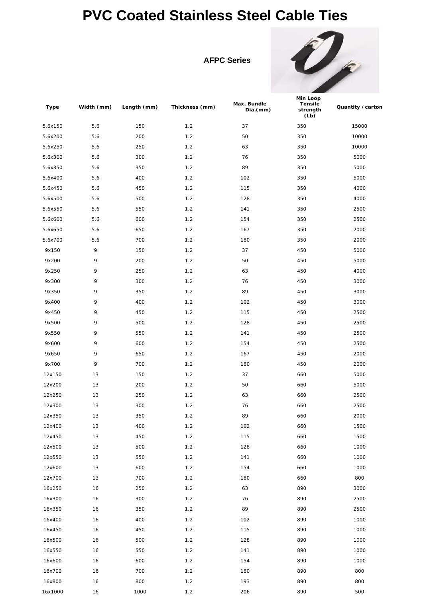# **PVC Coated Stainless Steel Cable Ties**

**AFPC Series**



| Type    | Width (mm) | Length (mm) | Thickness (mm) | Max. Bundle<br>Dia.(mm) | <b>Min Loop</b><br><b>Tensile</b><br>strength<br>(Lb) | Quantity / carton |
|---------|------------|-------------|----------------|-------------------------|-------------------------------------------------------|-------------------|
| 5.6x150 | 5.6        | 150         | 1.2            | 37                      | 350                                                   | 15000             |
| 5.6x200 | 5.6        | 200         | 1.2            | 50                      | 350                                                   | 10000             |
| 5.6x250 | 5.6        | 250         | 1.2            | 63                      | 350                                                   | 10000             |
| 5.6x300 | 5.6        | 300         | 1.2            | 76                      | 350                                                   | 5000              |
| 5.6x350 | 5.6        | 350         | 1.2            | 89                      | 350                                                   | 5000              |
| 5.6x400 | 5.6        | 400         | 1.2            | 102                     | 350                                                   | 5000              |
| 5.6x450 | 5.6        | 450         | 1.2            | 115                     | 350                                                   | 4000              |
| 5.6x500 | 5.6        | 500         | 1.2            | 128                     | 350                                                   | 4000              |
| 5.6x550 | 5.6        | 550         | 1.2            | 141                     | 350                                                   | 2500              |
| 5.6x600 | 5.6        | 600         | 1.2            | 154                     | 350                                                   | 2500              |
| 5.6x650 | 5.6        | 650         | 1.2            | 167                     | 350                                                   | 2000              |
| 5.6x700 | 5.6        | 700         | 1.2            | 180                     | 350                                                   | 2000              |
| 9x150   | 9          | 150         | 1.2            | 37                      | 450                                                   | 5000              |
| 9x200   | 9          | 200         | 1.2            | 50                      | 450                                                   | 5000              |
| 9x250   | 9          | 250         | 1.2            | 63                      | 450                                                   | 4000              |
| 9x300   | 9          | 300         | 1.2            | 76                      | 450                                                   | 3000              |
| 9x350   | 9          | 350         | 1.2            | 89                      | 450                                                   | 3000              |
| 9x400   | 9          | 400         | 1.2            | 102                     | 450                                                   | 3000              |
| 9x450   | 9          | 450         | 1.2            | 115                     | 450                                                   | 2500              |
| 9x500   | 9          | 500         | 1.2            | 128                     | 450                                                   | 2500              |
| 9x550   | 9          | 550         | 1.2            | 141                     | 450                                                   | 2500              |
| 9x600   | 9          | 600         | 1.2            | 154                     | 450                                                   | 2500              |
| 9x650   | 9          | 650         | 1.2            | 167                     | 450                                                   | 2000              |
| 9x700   | 9          | 700         | 1.2            | 180                     | 450                                                   | 2000              |
| 12x150  | 13         | 150         | 1.2            | 37                      | 660                                                   | 5000              |
| 12x200  | 13         | 200         | 1.2            | 50                      | 660                                                   | 5000              |
| 12x250  | 13         | 250         | 1.2            | 63                      | 660                                                   | 2500              |
| 12x300  | 13         | 300         | 1.2            | 76                      | 660                                                   | 2500              |
| 12x350  | 13         | 350         | $1.2\,$        | 89                      | 660                                                   | 2000              |
| 12x400  | 13         | 400         | 1.2            | 102                     | 660                                                   | 1500              |
| 12x450  | $13$       | 450         | $1.2$          | 115                     | 660                                                   | 1500              |
| 12x500  | 13         | 500         | 1.2            | 128                     | 660                                                   | 1000              |
| 12x550  | 13         | 550         | 1.2            | 141                     | 660                                                   | 1000              |
| 12x600  | 13         | 600         | 1.2            | 154                     | 660                                                   | 1000              |
| 12x700  | 13         | 700         | $1.2$          | 180                     | 660                                                   | 800               |
| 16x250  | 16         | 250         | 1.2            | 63                      | 890                                                   | 3000              |
| 16x300  | 16         | 300         | 1.2            | 76                      | 890                                                   | 2500              |
| 16x350  | 16         | 350         | 1.2            | 89                      | 890                                                   | 2500              |
| 16x400  | 16         | 400         | 1.2            | 102                     | 890                                                   | 1000              |
| 16x450  | 16         | 450         | 1.2            | 115                     | 890                                                   | 1000              |
| 16x500  | 16         | 500         | 1.2            | 128                     | 890                                                   | 1000              |
| 16x550  | 16         | 550         | 1.2            | 141                     | 890                                                   | 1000              |
| 16x600  | 16         | 600         | $1.2$          | 154                     | 890                                                   | 1000              |
| 16x700  | 16         | 700         | 1.2            | 180                     | 890                                                   | 800               |
| 16x800  | 16         | 800         | 1.2            | 193                     | 890                                                   | 800               |
| 16x1000 | 16         | 1000        | 1.2            | 206                     | 890                                                   | 500               |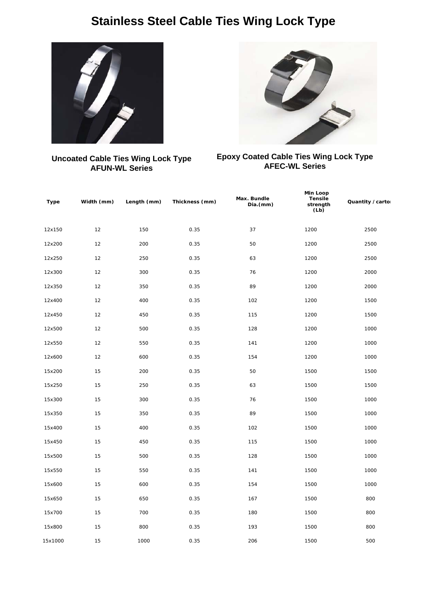### **Stainless Steel Cable Ties Wing Lock Type**



#### **Epoxy Coated Cable Ties Wing Lock Type AFEC-WL Series**

**Uncoated Cable Ties Wing Lock Type AFUN-WL Series**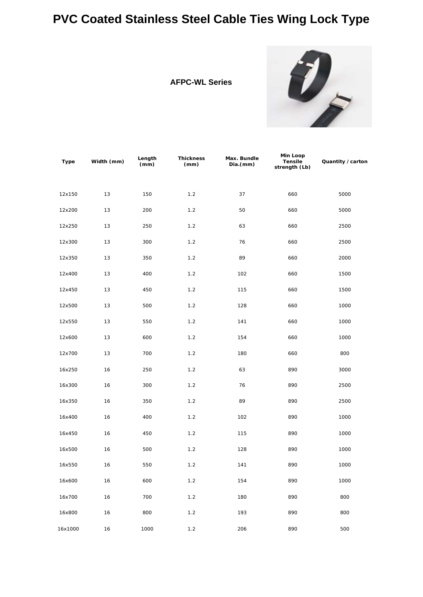# **PVC Coated Stainless Steel Cable Ties Wing Lock Type**





| <b>Type</b> | Width (mm) | Length<br>(mm) | <b>Thickness</b><br>(mm) | Max. Bundle<br>Dia.(mm) | Min Loop<br><b>Tensile</b><br>strength (Lb) | Quantity / carton |
|-------------|------------|----------------|--------------------------|-------------------------|---------------------------------------------|-------------------|
| 12x150      | 13         | 150            | 1.2                      | 37                      | 660                                         | 5000              |
| 12x200      | 13         | 200            | 1.2                      | 50                      | 660                                         | 5000              |
| 12x250      | 13         | 250            | 1.2                      | 63                      | 660                                         | 2500              |
| 12x300      | 13         | 300            | 1.2                      | 76                      | 660                                         | 2500              |
| 12x350      | 13         | 350            | 1.2                      | 89                      | 660                                         | 2000              |
| 12x400      | 13         | 400            | 1.2                      | 102                     | 660                                         | 1500              |
| 12x450      | 13         | 450            | 1.2                      | 115                     | 660                                         | 1500              |
| 12x500      | 13         | 500            | 1.2                      | 128                     | 660                                         | 1000              |
| 12x550      | 13         | 550            | 1.2                      | 141                     | 660                                         | 1000              |
| 12x600      | 13         | 600            | 1.2                      | 154                     | 660                                         | 1000              |
| 12x700      | 13         | 700            | 1.2                      | 180                     | 660                                         | 800               |
| 16x250      | 16         | 250            | 1.2                      | 63                      | 890                                         | 3000              |
| 16x300      | 16         | 300            | 1.2                      | 76                      | 890                                         | 2500              |
| 16x350      | 16         | 350            | 1.2                      | 89                      | 890                                         | 2500              |
| 16x400      | 16         | 400            | 1.2                      | 102                     | 890                                         | 1000              |
| 16x450      | 16         | 450            | 1.2                      | 115                     | 890                                         | 1000              |
| 16x500      | 16         | 500            | 1.2                      | 128                     | 890                                         | 1000              |
| 16x550      | 16         | 550            | 1.2                      | 141                     | 890                                         | 1000              |
| 16x600      | 16         | 600            | 1.2                      | 154                     | 890                                         | 1000              |
| 16x700      | 16         | 700            | 1.2                      | 180                     | 890                                         | 800               |
| 16x800      | 16         | 800            | 1.2                      | 193                     | 890                                         | 800               |
| 16x1000     | 16         | 1000           | 1.2                      | 206                     | 890                                         | 500               |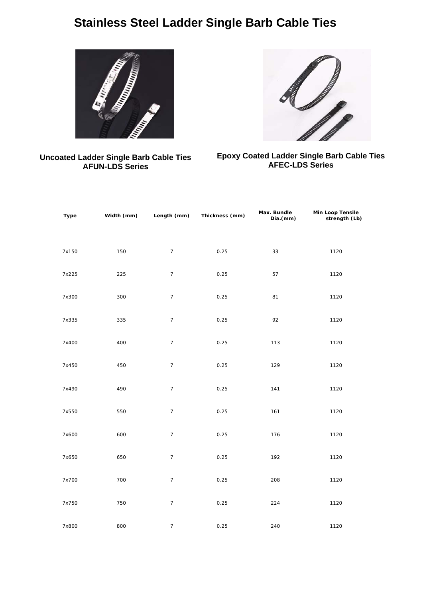# **Stainless Steel Ladder Single Barb Cable Ties**



#### **Uncoated Ladder Single Barb Cable Ties AFUN-LDS Series**



#### **Epoxy Coated Ladder Single Barb Cable Ties AFEC-LDS Series**

| <b>Type</b> | Width (mm) | Length (mm)      | Thickness (mm) | Max. Bundle<br>Dia.(mm) | <b>Min Loop Tensile</b><br>strength (Lb) |
|-------------|------------|------------------|----------------|-------------------------|------------------------------------------|
| 7x150       | 150        | $\overline{7}$   | 0.25           | 33                      | 1120                                     |
| 7x225       | 225        | $\boldsymbol{7}$ | 0.25           | 57                      | 1120                                     |
| 7x300       | 300        | $\overline{7}$   | 0.25           | 81                      | 1120                                     |
| 7x335       | 335        | $\overline{7}$   | 0.25           | 92                      | 1120                                     |
| 7x400       | 400        | $\overline{7}$   | 0.25           | 113                     | 1120                                     |
| 7x450       | 450        | $\overline{7}$   | 0.25           | 129                     | 1120                                     |
| 7x490       | 490        | $\overline{7}$   | 0.25           | 141                     | 1120                                     |
| 7x550       | 550        | $\boldsymbol{7}$ | 0.25           | 161                     | 1120                                     |
| 7x600       | 600        | $\overline{7}$   | 0.25           | 176                     | 1120                                     |
| 7x650       | 650        | $\boldsymbol{7}$ | 0.25           | 192                     | 1120                                     |
| 7x700       | 700        | $\overline{7}$   | 0.25           | 208                     | 1120                                     |
| 7x750       | 750        | $\overline{7}$   | 0.25           | 224                     | 1120                                     |
| 7x800       | 800        | $\overline{7}$   | 0.25           | 240                     | 1120                                     |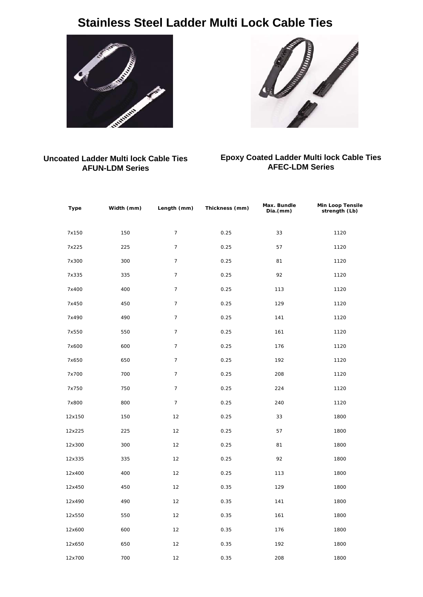# **Stainless Steel Ladder Multi Lock Cable Ties**





#### **Uncoated Ladder Multi lock Cable Ties AFUN-LDM Series**

#### **Epoxy Coated Ladder Multi lock Cable Ties AFEC-LDM Series**

| <b>Type</b> | Width (mm) | Length (mm)    | Thickness (mm) | Max. Bundle<br>Dia.(mm) | <b>Min Loop Tensile</b><br>strength (Lb) |
|-------------|------------|----------------|----------------|-------------------------|------------------------------------------|
| 7x150       | 150        | $\overline{7}$ | 0.25           | 33                      | 1120                                     |
| 7x225       | 225        | $\overline{7}$ | 0.25           | 57                      | 1120                                     |
| 7x300       | 300        | $\overline{7}$ | 0.25           | 81                      | 1120                                     |
| 7x335       | 335        | $\overline{7}$ | 0.25           | 92                      | 1120                                     |
| 7x400       | 400        | $\overline{7}$ | 0.25           | 113                     | 1120                                     |
| 7x450       | 450        | $\overline{7}$ | 0.25           | 129                     | 1120                                     |
| 7x490       | 490        | $\overline{7}$ | 0.25           | 141                     | 1120                                     |
| 7x550       | 550        | $\overline{7}$ | 0.25           | 161                     | 1120                                     |
| 7x600       | 600        | $\overline{7}$ | 0.25           | 176                     | 1120                                     |
| 7x650       | 650        | $\overline{7}$ | 0.25           | 192                     | 1120                                     |
| 7x700       | 700        | $\overline{7}$ | 0.25           | 208                     | 1120                                     |
| 7x750       | 750        | $\overline{7}$ | 0.25           | 224                     | 1120                                     |
| 7x800       | 800        | $\overline{7}$ | 0.25           | 240                     | 1120                                     |
| 12x150      | 150        | 12             | 0.25           | 33                      | 1800                                     |
| 12x225      | 225        | 12             | 0.25           | 57                      | 1800                                     |
| 12x300      | 300        | 12             | 0.25           | 81                      | 1800                                     |
| 12x335      | 335        | 12             | 0.25           | 92                      | 1800                                     |
| 12x400      | 400        | 12             | 0.25           | 113                     | 1800                                     |
| 12x450      | 450        | 12             | 0.35           | 129                     | 1800                                     |
| 12x490      | 490        | 12             | 0.35           | 141                     | 1800                                     |
| 12x550      | 550        | 12             | 0.35           | 161                     | 1800                                     |
| 12x600      | 600        | 12             | 0.35           | 176                     | 1800                                     |
| 12x650      | 650        | 12             | 0.35           | 192                     | 1800                                     |
| 12x700      | 700        | 12             | 0.35           | 208                     | 1800                                     |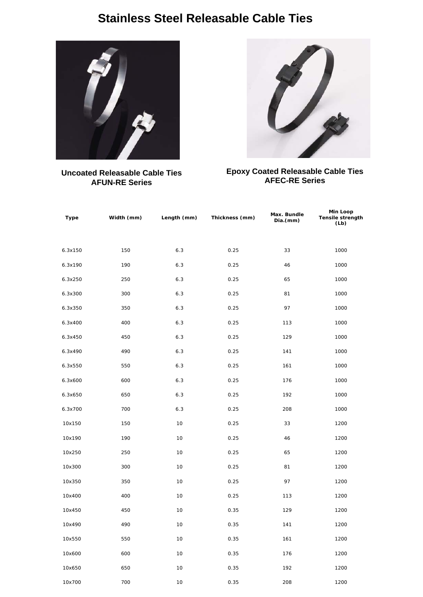### **Stainless Steel Releasable Cable Ties**



**Uncoated Releasable Cable Ties AFUN-RE Series**



#### **Epoxy Coated Releasable Cable Ties AFEC-RE Series**

| Type    | Width (mm) | Length (mm) | Thickness (mm) | Max. Bundle<br>Dia.(mm) | <b>Min Loop</b><br><b>Tensile strength</b><br>(Lb) |
|---------|------------|-------------|----------------|-------------------------|----------------------------------------------------|
| 6.3x150 | 150        | 6.3         | 0.25           | 33                      | 1000                                               |
| 6.3x190 | 190        | 6.3         | 0.25           | 46                      | 1000                                               |
| 6.3x250 | 250        | 6.3         | 0.25           | 65                      | 1000                                               |
| 6.3x300 | 300        | 6.3         | 0.25           | 81                      | 1000                                               |
| 6.3x350 | 350        | 6.3         | 0.25           | 97                      | 1000                                               |
| 6.3x400 | 400        | 6.3         | 0.25           | 113                     | 1000                                               |
| 6.3x450 | 450        | 6.3         | 0.25           | 129                     | 1000                                               |
| 6.3x490 | 490        | 6.3         | 0.25           | 141                     | 1000                                               |
| 6.3x550 | 550        | 6.3         | 0.25           | 161                     | 1000                                               |
| 6.3x600 | 600        | 6.3         | 0.25           | 176                     | 1000                                               |
| 6.3x650 | 650        | 6.3         | 0.25           | 192                     | 1000                                               |
| 6.3x700 | 700        | 6.3         | 0.25           | 208                     | 1000                                               |
| 10x150  | 150        | 10          | 0.25           | 33                      | 1200                                               |
| 10x190  | 190        | 10          | 0.25           | 46                      | 1200                                               |
| 10x250  | 250        | 10          | 0.25           | 65                      | 1200                                               |
| 10x300  | 300        | 10          | 0.25           | 81                      | 1200                                               |
| 10x350  | 350        | 10          | 0.25           | 97                      | 1200                                               |
| 10x400  | 400        | 10          | 0.25           | 113                     | 1200                                               |
| 10x450  | 450        | 10          | 0.35           | 129                     | 1200                                               |
| 10x490  | 490        | 10          | 0.35           | 141                     | 1200                                               |
| 10x550  | 550        | $10$        | 0.35           | 161                     | 1200                                               |
| 10x600  | 600        | $10$        | 0.35           | 176                     | 1200                                               |
| 10x650  | 650        | $10$        | 0.35           | 192                     | 1200                                               |
| 10x700  | 700        | $10$        | 0.35           | 208                     | 1200                                               |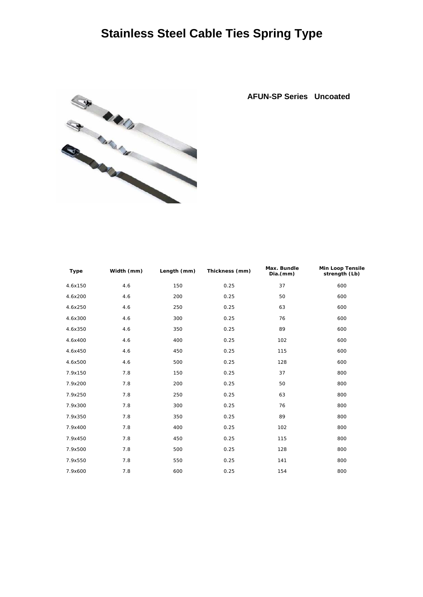# **Stainless Steel Cable Ties Spring Type**



**AFUN-SP Series Uncoated**

| <b>Type</b> | Width (mm) | Length (mm) | Thickness (mm) | Max. Bundle<br>Dia.(mm) | <b>Min Loop Tensile</b><br>strength (Lb) |
|-------------|------------|-------------|----------------|-------------------------|------------------------------------------|
| 4.6x150     | 4.6        | 150         | 0.25           | 37                      | 600                                      |
| 4.6x200     | 4.6        | 200         | 0.25           | 50                      | 600                                      |
| 4.6x250     | 4.6        | 250         | 0.25           | 63                      | 600                                      |
| 4.6x300     | 4.6        | 300         | 0.25           | 76                      | 600                                      |
| 4.6x350     | 4.6        | 350         | 0.25           | 89                      | 600                                      |
| 4.6x400     | 4.6        | 400         | 0.25           | 102                     | 600                                      |
| 4.6x450     | 4.6        | 450         | 0.25           | 115                     | 600                                      |
| 4.6x500     | 4.6        | 500         | 0.25           | 128                     | 600                                      |
| 7.9x150     | 7.8        | 150         | 0.25           | 37                      | 800                                      |
| 7.9x200     | 7.8        | 200         | 0.25           | 50                      | 800                                      |
| 7.9x250     | 7.8        | 250         | 0.25           | 63                      | 800                                      |
| 7.9x300     | 7.8        | 300         | 0.25           | 76                      | 800                                      |
| 7.9x350     | 7.8        | 350         | 0.25           | 89                      | 800                                      |
| 7.9x400     | 7.8        | 400         | 0.25           | 102                     | 800                                      |
| 7.9x450     | 7.8        | 450         | 0.25           | 115                     | 800                                      |
| 7.9x500     | 7.8        | 500         | 0.25           | 128                     | 800                                      |
| 7.9x550     | 7.8        | 550         | 0.25           | 141                     | 800                                      |
| 7.9x600     | 7.8        | 600         | 0.25           | 154                     | 800                                      |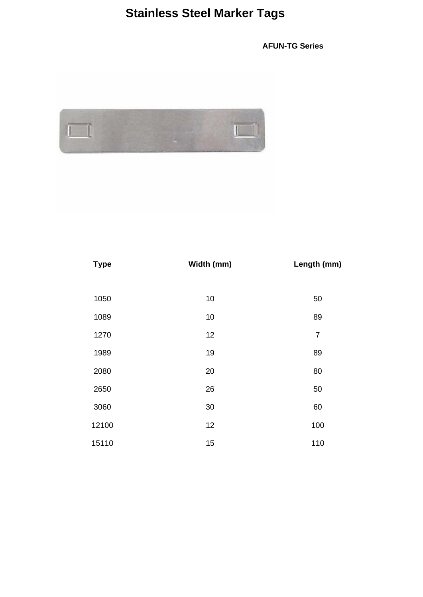# **Stainless Steel Marker Tags**

**AFUN-TG Series**



| <b>Type</b> | Width (mm) | Length (mm)    |
|-------------|------------|----------------|
|             |            |                |
| 1050        | 10         | 50             |
| 1089        | 10         | 89             |
| 1270        | 12         | $\overline{7}$ |
| 1989        | 19         | 89             |
| 2080        | 20         | 80             |
| 2650        | 26         | 50             |
| 3060        | 30         | 60             |
| 12100       | 12         | 100            |
| 15110       | 15         | 110            |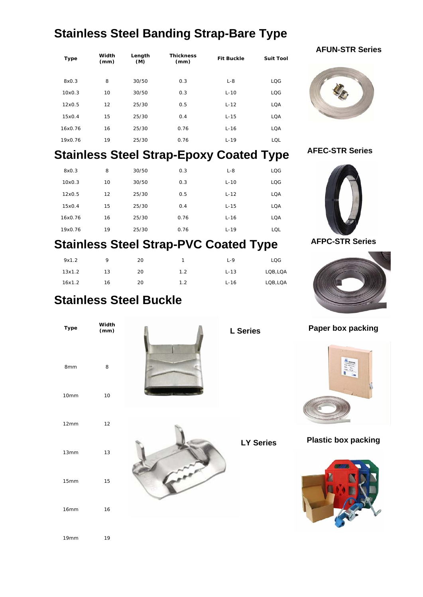# **Stainless Steel Banding Strap-Bare Type**

| <b>Type</b> | Width<br>(mm) | Length<br>(M) | <b>Thickness</b><br>(mm) | <b>Fit Buckle</b> | <b>Suit Tool</b> |
|-------------|---------------|---------------|--------------------------|-------------------|------------------|
| 8x0.3       | 8             | 30/50         | 0.3                      | $L - 8$           | <b>LOG</b>       |
| 10x0.3      | 10            | 30/50         | 0.3                      | $L-10$            | <b>LOG</b>       |
| 12x0.5      | 12            | 25/30         | 0.5                      | $L-12$            | <b>LOA</b>       |
| 15x0.4      | 15            | 25/30         | 0.4                      | $L-15$            | <b>LOA</b>       |
| 16x0.76     | 16            | 25/30         | 0.76                     | $L-16$            | <b>LOA</b>       |
| 19x0.76     | 19            | 25/30         | 0.76                     | $L-19$            | LOL              |

## **Stainless Steel Strap-Epoxy Coated Type**

| 8x0.3   | 8  | 30/50 | 0.3  | $L - 8$  | <b>LOG</b> |
|---------|----|-------|------|----------|------------|
| 10x0.3  | 10 | 30/50 | 0.3  | $L-10$   | <b>LOG</b> |
| 12x0.5  | 12 | 25/30 | 0.5  | $L-12$   | <b>LOA</b> |
| 15x0.4  | 15 | 25/30 | 0.4  | $L-15$   | <b>LOA</b> |
| 16x0.76 | 16 | 25/30 | 0.76 | $L-16$   | <b>LOA</b> |
| 19x0.76 | 19 | 25/30 | 0.76 | $L - 19$ | LOL        |

# **Stainless Steel Strap-PVC Coated Type**

| 9x1.2  | Q  | 20 |     | $L - 9$ | LQG      |
|--------|----|----|-----|---------|----------|
| 13x1.2 | 13 | 20 | 1.2 | $L-13$  | LOB, LOA |
| 16x1.2 | 16 | 20 | 1.2 | $L-16$  | LOB, LOA |

#### **AFUN-STR Series**



#### **AFEC-STR Series**



#### **AFPC-STR Series**



### **Stainless Steel Buckle**